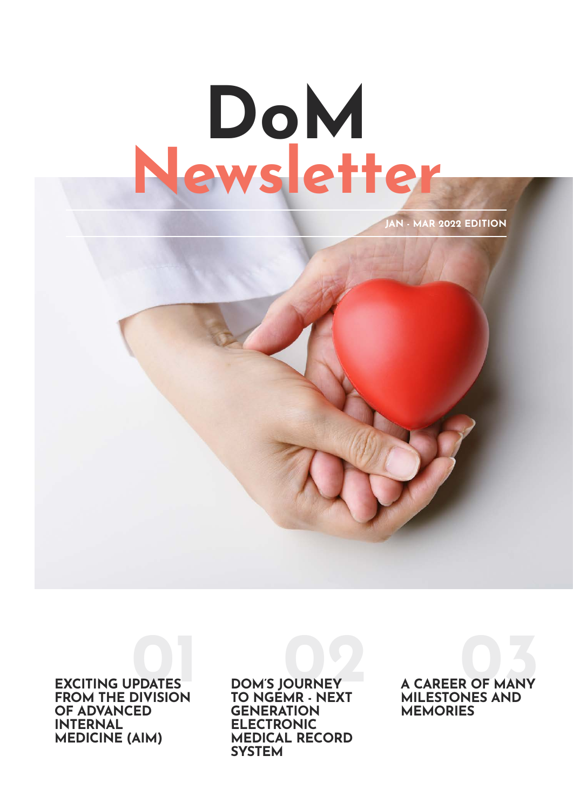## Newsletter DoM

JAN - MAR 2022 EDITION

FROM THE DIVISION OF ADVANCED INTERNAL MEDICINE (AIM)

DOM'S JOURNEY TO NGEMR - NEXT **GENERATION** ELECTRONIC MEDICAL RECORD **SYSTEM** 

EXCITING UPDATES DOM'S JOURNEY A CAREER OF MANY A CAREER OF MANY MILESTONES AND **MEMORIES**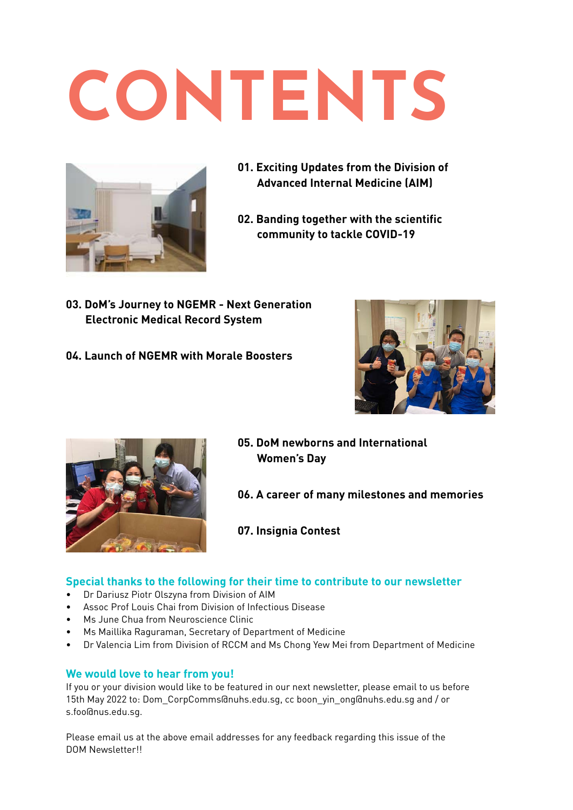# <span id="page-1-0"></span>CONTENTS



- **[01. Exciting Updates from the Division of](#page-2-0)  Advanced Internal Medicine (AIM)**
- **[02. Banding together with the scientific](#page-3-0)  [community to tackle COVID-19](#page-3-0)**
- **[03. DoM's Journey to NGEMR Next Generation](#page-4-0)  [Electronic Medical Record System](#page-4-0)**
- **[04. Launch of NGEMR with Morale Boosters](#page-6-0)**





- **[05. DoM newborns and International](#page-7-0)  [Women's Day](#page-7-0)**
- **[06. A career of many milestones and memories](#page-8-0)**
- **[07. Insignia Contest](#page-9-0)**

#### **Special thanks to the following for their time to contribute to our newsletter**

- Dr Dariusz Piotr Olszyna from Division of AIM
- Assoc Prof Louis Chai from Division of Infectious Disease
- Ms June Chua from Neuroscience Clinic
- Ms Maillika Raguraman, Secretary of Department of Medicine
- Dr Valencia Lim from Division of RCCM and Ms Chong Yew Mei from Department of Medicine

#### **We would love to hear from you!**

If you or your division would like to be featured in our next newsletter, please email to us before 15th May 2022 to: Dom\_CorpComms@nuhs.edu.sg, cc boon\_yin\_ong@nuhs.edu.sg and / or s.foo@nus.edu.sg.

Please email us at the above email addresses for any feedback regarding this issue of the DOM Newsletter!!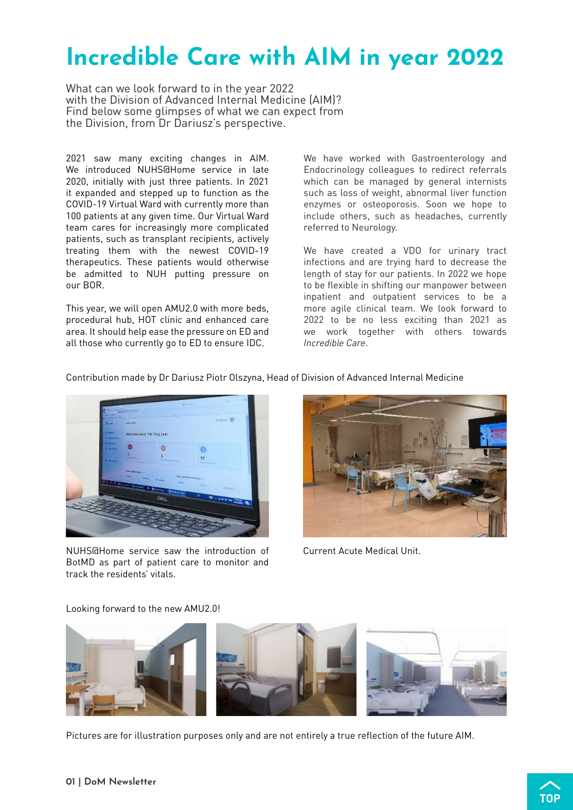## <span id="page-2-0"></span>Incredible Care with AIM in year 2022

What can we look forward to in the year 2022 with the Division of Advanced Internal Medicine (AIM)? Find below some glimpses of what we can expect from the Division, from Dr Dariusz's perspective.

2021 saw many exciting changes in AIM. We introduced NUHS@Home service in late 2020, initially with just three patients. In 2021 it expanded and stepped up to function as the COVID-19 Virtual Ward with currently more than 100 patients at any given time. Our Virtual Ward team cares for increasingly more complicated patients, such as transplant recipients, actively treating them with the newest COVID-19 therapeutics. These patients would otherwise be admitted to NUH putting pressure on our BOR.

This year, we will open AMU2.0 with more beds, procedural hub, HOT clinic and enhanced care area. It should help ease the pressure on ED and all those who currently go to ED to ensure IDC.

We have worked with Gastroenterology and Endocrinology colleagues to redirect referrals which can be managed by general internists such as loss of weight, abnormal liver function enzymes or osteoporosis. Soon we hope to include others, such as headaches, currently referred to Neurology.

We have created a VDO for urinary tract infections and are trying hard to decrease the length of stay for our patients. In 2022 we hope to be flexible in shifting our manpower between inpatient and outpatient services to be a more agile clinical team. We look forward to 2022 to be no less exciting than 2021 as we work together with others towards *Incredible Care*.

Contribution made by Dr Dariusz Piotr Olszyna, Head of Division of Advanced Internal Medicine



NUHS@Home service saw the introduction of BotMD as part of patient care to monitor and track the residents' vitals.



Current Acute Medical Unit.

Looking forward to the new AMU2.0!



Pictures are for illustration purposes only and are not entirely a true reflection of the future AIM.

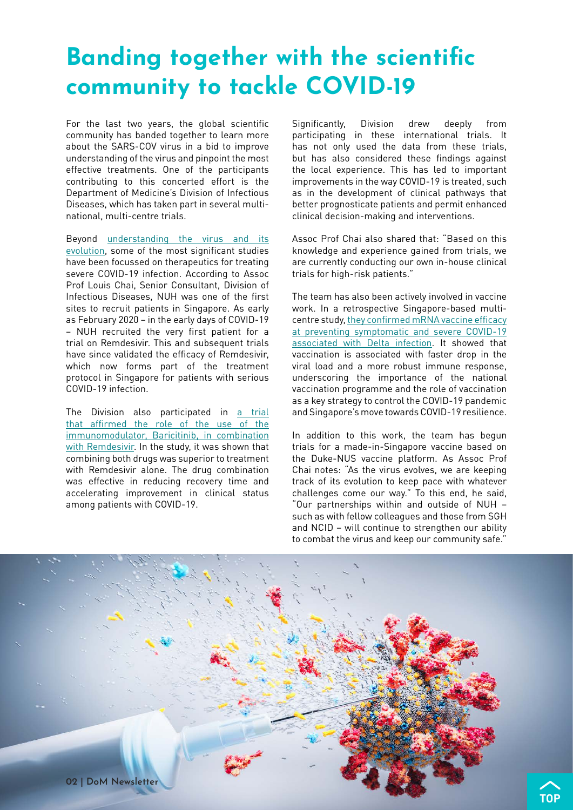## <span id="page-3-0"></span>Banding together with the scientific community to tackle COVID-19

For the last two years, the global scientific community has banded together to learn more about the SARS-COV virus in a bid to improve understanding of the virus and pinpoint the most effective treatments. One of the participants contributing to this concerted effort is the Department of Medicine's Division of Infectious Diseases, which has taken part in several multinational, multi-centre trials.

Beyond [understanding the virus and its](https://pubmed.ncbi.nlm.nih.gov/32822564/)  [evolution,](https://pubmed.ncbi.nlm.nih.gov/32822564/) some of the most significant studies have been focussed on therapeutics for treating severe COVID-19 infection. According to Assoc Prof Louis Chai, Senior Consultant, Division of Infectious Diseases, NUH was one of the first sites to recruit patients in Singapore. As early as February 2020 – in the early days of COVID-19 – NUH recruited the very first patient for a trial on Remdesivir. This and subsequent trials have since validated the efficacy of Remdesivir, which now forms part of the treatment protocol in Singapore for patients with serious COVID-19 infection.

The Division also participated in a trial [that affirmed the role of the use of the](https://pubmed.ncbi.nlm.nih.gov/33306283/)  [immunomodulator, Baricitinib, in combination](https://pubmed.ncbi.nlm.nih.gov/33306283/)  [with Remdesivir](https://pubmed.ncbi.nlm.nih.gov/33306283/). In the study, it was shown that combining both drugs was superior to treatment with Remdesivir alone. The drug combination was effective in reducing recovery time and accelerating improvement in clinical status among patients with COVID-19.

Significantly. Division drew deeply from participating in these international trials. It has not only used the data from these trials, but has also considered these findings against the local experience. This has led to important improvements in the way COVID-19 is treated, such as in the development of clinical pathways that better prognosticate patients and permit enhanced clinical decision-making and interventions.

Assoc Prof Chai also shared that: "Based on this knowledge and experience gained from trials, we are currently conducting our own in-house clinical trials for high-risk patients."

The team has also been actively involved in vaccine work. In a retrospective Singapore-based multicentre study, [they confirmed mRNA vaccine efficacy](https://pubmed.ncbi.nlm.nih.gov/33306283/)  [at preventing symptomatic and severe COVID-19](https://pubmed.ncbi.nlm.nih.gov/33306283/)  [associated with Delta infection.](https://pubmed.ncbi.nlm.nih.gov/33306283/) It showed that vaccination is associated with faster drop in the viral load and a more robust immune response, underscoring the importance of the national vaccination programme and the role of vaccination as a key strategy to control the COVID-19 pandemic and Singapore's move towards COVID-19 resilience.

In addition to this work, the team has begun trials for a made-in-Singapore vaccine based on the Duke-NUS vaccine platform. As Assoc Prof Chai notes: "As the virus evolves, we are keeping track of its evolution to keep pace with whatever challenges come our way." To this end, he said, "Our partnerships within and outside of NUH – such as with fellow colleagues and those from SGH and NCID – will continue to strengthen our ability to combat the virus and keep our community safe."

**[TOP](#page-1-0)**

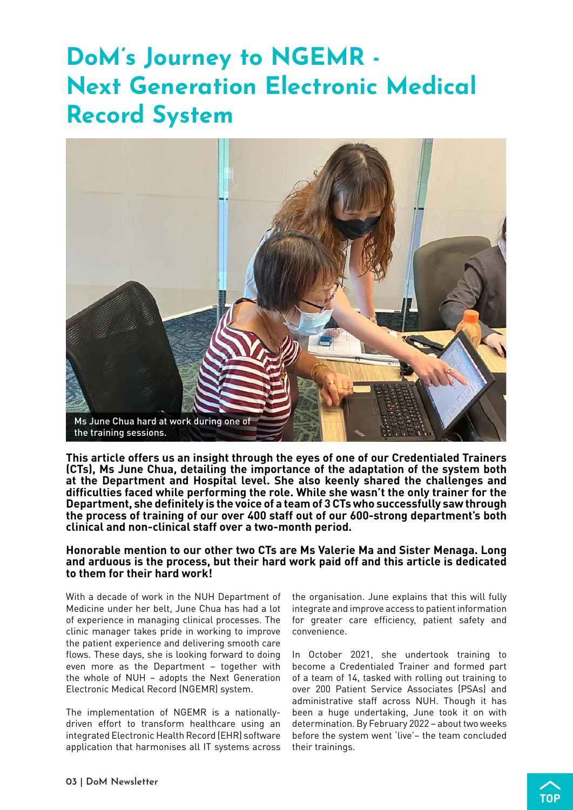## <span id="page-4-0"></span>DoM's Journey to NGEMR - Next Generation Electronic Medical Record System



**This article offers us an insight through the eyes of one of our Credentialed Trainers (CTs), Ms June Chua, detailing the importance of the adaptation of the system both at the Department and Hospital level. She also keenly shared the challenges and difficulties faced while performing the role. While she wasn't the only trainer for the Department, she definitely is the voice of a team of 3 CTs who successfully saw through the process of training of our over 400 staff out of our 600-strong department's both clinical and non-clinical staff over a two-month period.**

#### **Honorable mention to our other two CTs are Ms Valerie Ma and Sister Menaga. Long and arduous is the process, but their hard work paid off and this article is dedicated to them for their hard work!**

With a decade of work in the NUH Department of Medicine under her belt, June Chua has had a lot of experience in managing clinical processes. The clinic manager takes pride in working to improve the patient experience and delivering smooth care flows. These days, she is looking forward to doing even more as the Department – together with the whole of NUH – adopts the Next Generation Electronic Medical Record (NGEMR) system.

The implementation of NGEMR is a nationallydriven effort to transform healthcare using an integrated Electronic Health Record (EHR) software application that harmonises all IT systems across the organisation. June explains that this will fully integrate and improve access to patient information for greater care efficiency, patient safety and convenience.

In October 2021, she undertook training to become a Credentialed Trainer and formed part of a team of 14, tasked with rolling out training to over 200 Patient Service Associates (PSAs) and administrative staff across NUH. Though it has been a huge undertaking, June took it on with determination. By February 2022 – about two weeks before the system went 'live'– the team concluded their trainings.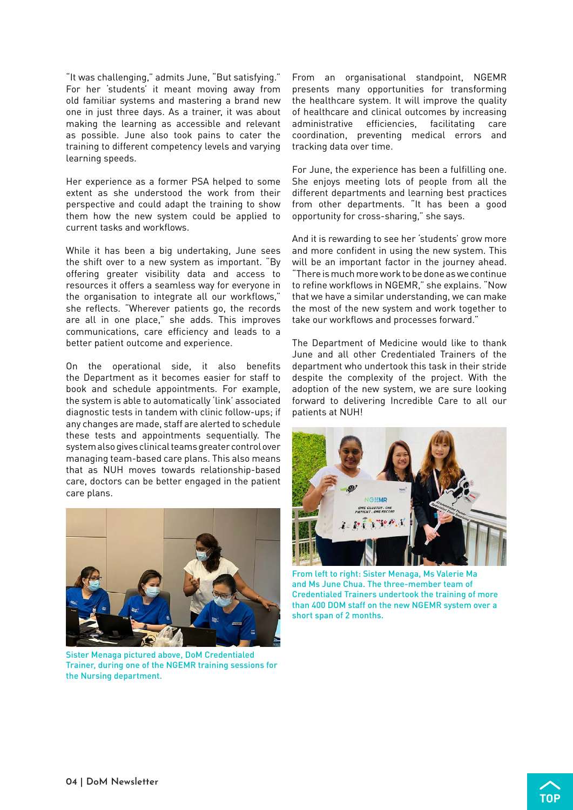"It was challenging," admits June, "But satisfying." For her 'students' it meant moving away from old familiar systems and mastering a brand new one in just three days. As a trainer, it was about making the learning as accessible and relevant as possible. June also took pains to cater the training to different competency levels and varying learning speeds.

Her experience as a former PSA helped to some extent as she understood the work from their perspective and could adapt the training to show them how the new system could be applied to current tasks and workflows.

While it has been a big undertaking, June sees the shift over to a new system as important. "By offering greater visibility data and access to resources it offers a seamless way for everyone in the organisation to integrate all our workflows," she reflects. "Wherever patients go, the records are all in one place," she adds. This improves communications, care efficiency and leads to a better patient outcome and experience.

On the operational side, it also benefits the Department as it becomes easier for staff to book and schedule appointments. For example, the system is able to automatically 'link' associated diagnostic tests in tandem with clinic follow-ups; if any changes are made, staff are alerted to schedule these tests and appointments sequentially. The system also gives clinical teams greater control over managing team-based care plans. This also means that as NUH moves towards relationship-based care, doctors can be better engaged in the patient care plans.



Sister Menaga pictured above, DoM Credentialed Trainer, during one of the NGEMR training sessions for the Nursing department.

From an organisational standpoint, NGEMR presents many opportunities for transforming the healthcare system. It will improve the quality of healthcare and clinical outcomes by increasing administrative efficiencies, facilitating care coordination, preventing medical errors and tracking data over time.

For June, the experience has been a fulfilling one. She enjoys meeting lots of people from all the different departments and learning best practices from other departments. "It has been a good opportunity for cross-sharing," she says.

And it is rewarding to see her 'students' grow more and more confident in using the new system. This will be an important factor in the journey ahead. "There is much more work to be done as we continue to refine workflows in NGEMR," she explains. "Now that we have a similar understanding, we can make the most of the new system and work together to take our workflows and processes forward."

The Department of Medicine would like to thank June and all other Credentialed Trainers of the department who undertook this task in their stride despite the complexity of the project. With the adoption of the new system, we are sure looking forward to delivering Incredible Care to all our patients at NUH!



From left to right: Sister Menaga, Ms Valerie Ma and Ms June Chua. The three-member team of Credentialed Trainers undertook the training of more than 400 DOM staff on the new NGEMR system over a short span of 2 months.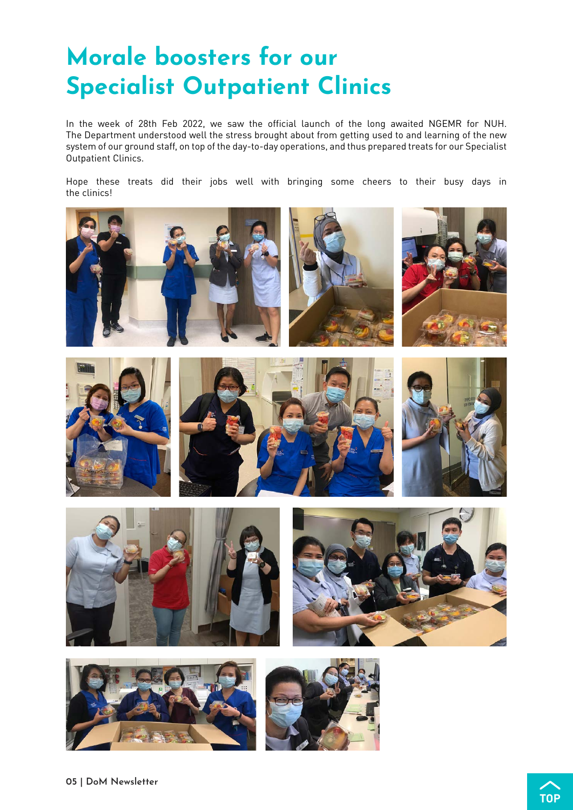## <span id="page-6-0"></span>Morale boosters for our Specialist Outpatient Clinics

In the week of 28th Feb 2022, we saw the official launch of the long awaited NGEMR for NUH. The Department understood well the stress brought about from getting used to and learning of the new system of our ground staff, on top of the day-to-day operations, and thus prepared treats for our Specialist Outpatient Clinics.

Hope these treats did their jobs well with bringing some cheers to their busy days in the clinics!

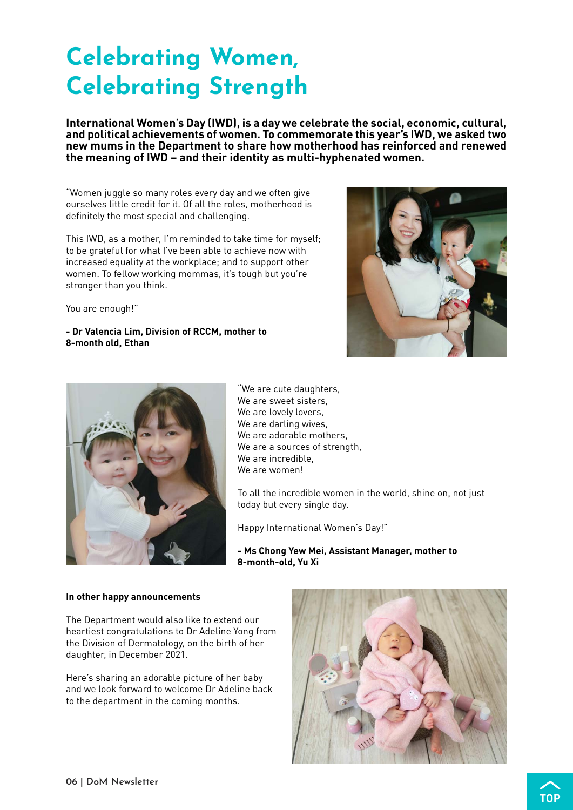## <span id="page-7-0"></span>Celebrating Women, Celebrating Strength

**International Women's Day (IWD), is a day we celebrate the social, economic, cultural, and political achievements of women. To commemorate this year's IWD, we asked two new mums in the Department to share how motherhood has reinforced and renewed the meaning of IWD – and their identity as multi-hyphenated women.**

"Women juggle so many roles every day and we often give ourselves little credit for it. Of all the roles, motherhood is definitely the most special and challenging.

This IWD, as a mother, I'm reminded to take time for myself; to be grateful for what I've been able to achieve now with increased equality at the workplace; and to support other women. To fellow working mommas, it's tough but you're stronger than you think.

You are enough!"

**- Dr Valencia Lim, Division of RCCM, mother to 8-month old, Ethan**





"We are cute daughters, We are sweet sisters, We are lovely lovers, We are darling wives, We are adorable mothers. We are a sources of strength, We are incredible, We are women!

To all the incredible women in the world, shine on, not just today but every single day.

Happy International Women's Day!"

**- Ms Chong Yew Mei, Assistant Manager, mother to 8-month-old, Yu Xi**

#### **In other happy announcements**

The Department would also like to extend our heartiest congratulations to Dr Adeline Yong from the Division of Dermatology, on the birth of her daughter, in December 2021.

Here's sharing an adorable picture of her baby and we look forward to welcome Dr Adeline back to the department in the coming months.



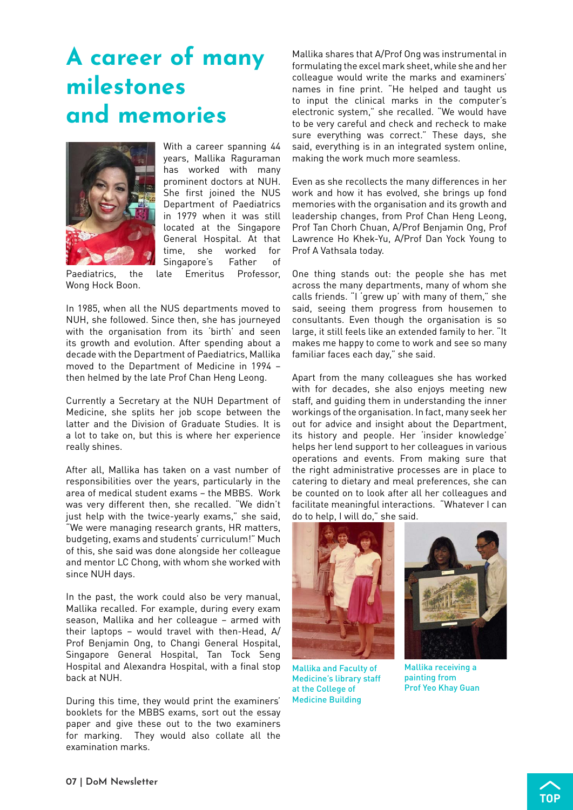## <span id="page-8-0"></span>A career of many milestones and memories



With a career spanning 44 years, Mallika Raguraman has worked with many prominent doctors at NUH. She first joined the NUS Department of Paediatrics in 1979 when it was still located at the Singapore General Hospital. At that time, she worked for Singapore's Father of

Paediatrics, the late Emeritus Professor, Wong Hock Boon.

In 1985, when all the NUS departments moved to NUH, she followed. Since then, she has journeyed with the organisation from its 'birth' and seen its growth and evolution. After spending about a decade with the Department of Paediatrics, Mallika moved to the Department of Medicine in 1994 – then helmed by the late Prof Chan Heng Leong.

Currently a Secretary at the NUH Department of Medicine, she splits her job scope between the latter and the Division of Graduate Studies. It is a lot to take on, but this is where her experience really shines.

After all, Mallika has taken on a vast number of responsibilities over the years, particularly in the area of medical student exams – the MBBS. Work was very different then, she recalled. "We didn't just help with the twice-yearly exams," she said, "We were managing research grants, HR matters, budgeting, exams and students' curriculum!" Much of this, she said was done alongside her colleague and mentor LC Chong, with whom she worked with since NUH days.

In the past, the work could also be very manual, Mallika recalled. For example, during every exam season, Mallika and her colleague – armed with their laptops – would travel with then-Head, A/ Prof Benjamin Ong, to Changi General Hospital, Singapore General Hospital, Tan Tock Seng Hospital and Alexandra Hospital, with a final stop back at NUH.

During this time, they would print the examiners' booklets for the MBBS exams, sort out the essay paper and give these out to the two examiners for marking. They would also collate all the examination marks.

Mallika shares that A/Prof Ong was instrumental in formulating the excel mark sheet, while she and her colleague would write the marks and examiners' names in fine print. "He helped and taught us to input the clinical marks in the computer's electronic system," she recalled. "We would have to be very careful and check and recheck to make sure everything was correct." These days, she said, everything is in an integrated system online, making the work much more seamless.

Even as she recollects the many differences in her work and how it has evolved, she brings up fond memories with the organisation and its growth and leadership changes, from Prof Chan Heng Leong, Prof Tan Chorh Chuan, A/Prof Benjamin Ong, Prof Lawrence Ho Khek-Yu, A/Prof Dan Yock Young to Prof A Vathsala today.

One thing stands out: the people she has met across the many departments, many of whom she calls friends. "I 'grew up' with many of them," she said, seeing them progress from housemen to consultants. Even though the organisation is so large, it still feels like an extended family to her. "It makes me happy to come to work and see so many familiar faces each day," she said.

Apart from the many colleagues she has worked with for decades, she also enjoys meeting new staff, and guiding them in understanding the inner workings of the organisation. In fact, many seek her out for advice and insight about the Department, its history and people. Her 'insider knowledge' helps her lend support to her colleagues in various operations and events. From making sure that the right administrative processes are in place to catering to dietary and meal preferences, she can be counted on to look after all her colleagues and facilitate meaningful interactions. "Whatever I can do to help, I will do," she said.



Mallika and Faculty of Medicine's library staff at the College of Medicine Building



Mallika receiving a painting from Prof Yeo Khay Guan